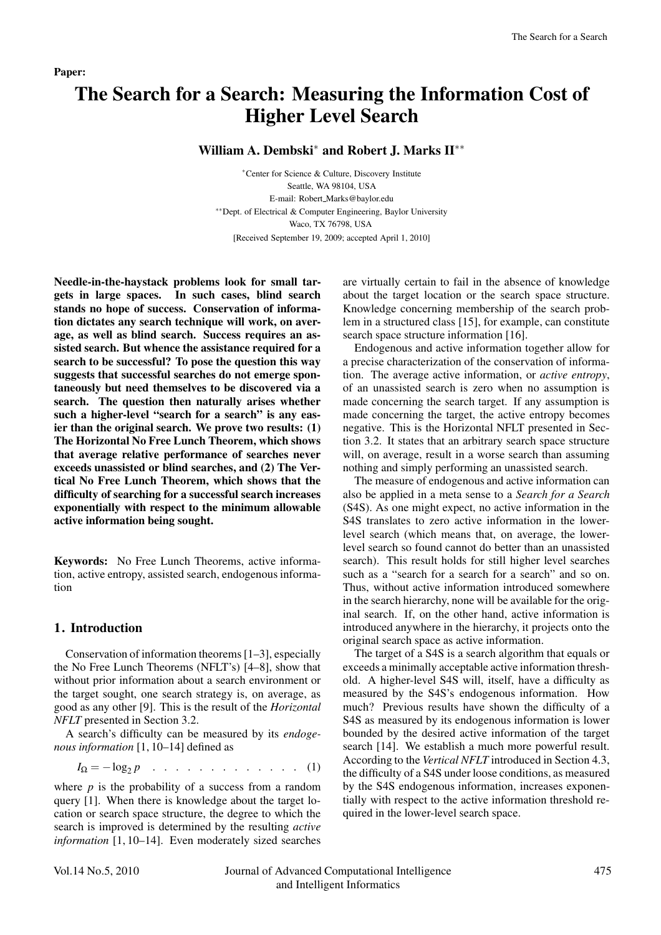#### Paper:

# The Search for a Search: Measuring the Information Cost of Higher Level Search

## William A. Dembski<sup>\*</sup> and Robert J. Marks II<sup>∗∗</sup>

∗Center for Science & Culture, Discovery Institute Seattle, WA 98104, USA E-mail: Robert Marks@baylor.edu ∗∗Dept. of Electrical & Computer Engineering, Baylor University Waco, TX 76798, USA [Received September 19, 2009; accepted April 1, 2010]

Needle-in-the-haystack problems look for small targets in large spaces. In such cases, blind search stands no hope of success. Conservation of information dictates any search technique will work, on average, as well as blind search. Success requires an assisted search. But whence the assistance required for a search to be successful? To pose the question this way suggests that successful searches do not emerge spontaneously but need themselves to be discovered via a search. The question then naturally arises whether such a higher-level "search for a search" is any easier than the original search. We prove two results: (1) The Horizontal No Free Lunch Theorem, which shows that average relative performance of searches never exceeds unassisted or blind searches, and (2) The Vertical No Free Lunch Theorem, which shows that the difficulty of searching for a successful search increases exponentially with respect to the minimum allowable active information being sought.

Keywords: No Free Lunch Theorems, active information, active entropy, assisted search, endogenous information

## 1. Introduction

Conservation of information theorems [1–3], especially the No Free Lunch Theorems (NFLT's) [4–8], show that without prior information about a search environment or the target sought, one search strategy is, on average, as good as any other [9]. This is the result of the *Horizontal NFLT* presented in Section 3.2.

A search's difficulty can be measured by its *endogenous information* [1, 10–14] defined as

$$
I_{\Omega} = -\log_2 p \quad . \quad . \quad . \quad . \quad . \quad . \quad . \quad . \quad . \quad . \tag{1}
$$

where  $p$  is the probability of a success from a random query [1]. When there is knowledge about the target location or search space structure, the degree to which the search is improved is determined by the resulting *active information* [1, 10–14]. Even moderately sized searches

are virtually certain to fail in the absence of knowledge about the target location or the search space structure. Knowledge concerning membership of the search problem in a structured class [15], for example, can constitute search space structure information [16].

Endogenous and active information together allow for a precise characterization of the conservation of information. The average active information, or *active entropy*, of an unassisted search is zero when no assumption is made concerning the search target. If any assumption is made concerning the target, the active entropy becomes negative. This is the Horizontal NFLT presented in Section 3.2. It states that an arbitrary search space structure will, on average, result in a worse search than assuming nothing and simply performing an unassisted search.

The measure of endogenous and active information can also be applied in a meta sense to a *Search for a Search* (S4S). As one might expect, no active information in the S4S translates to zero active information in the lowerlevel search (which means that, on average, the lowerlevel search so found cannot do better than an unassisted search). This result holds for still higher level searches such as a "search for a search for a search" and so on. Thus, without active information introduced somewhere in the search hierarchy, none will be available for the original search. If, on the other hand, active information is introduced anywhere in the hierarchy, it projects onto the original search space as active information.

The target of a S4S is a search algorithm that equals or exceeds a minimally acceptable active information threshold. A higher-level S4S will, itself, have a difficulty as measured by the S4S's endogenous information. How much? Previous results have shown the difficulty of a S4S as measured by its endogenous information is lower bounded by the desired active information of the target search [14]. We establish a much more powerful result. According to the *Vertical NFLT* introduced in Section 4.3, the difficulty of a S4S under loose conditions, as measured by the S4S endogenous information, increases exponentially with respect to the active information threshold required in the lower-level search space.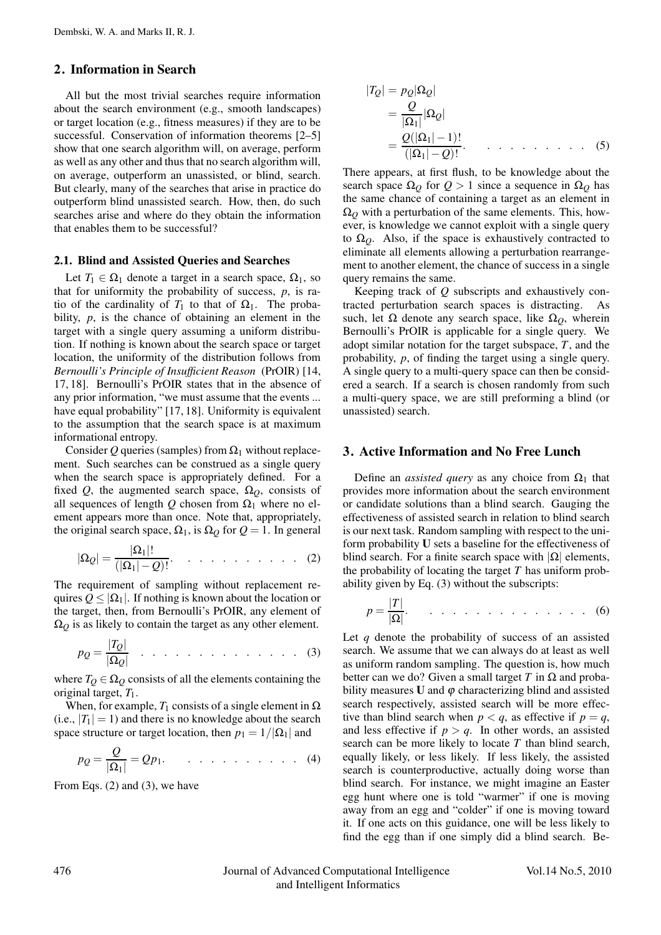## 2. Information in Search

All but the most trivial searches require information about the search environment (e.g., smooth landscapes) or target location (e.g., fitness measures) if they are to be successful. Conservation of information theorems [2–5] show that one search algorithm will, on average, perform as well as any other and thus that no search algorithm will, on average, outperform an unassisted, or blind, search. But clearly, many of the searches that arise in practice do outperform blind unassisted search. How, then, do such searches arise and where do they obtain the information that enables them to be successful?

#### 2.1. Blind and Assisted Queries and Searches

Let  $T_1 \in \Omega_1$  denote a target in a search space,  $\Omega_1$ , so that for uniformity the probability of success, *p*, is ratio of the cardinality of  $T_1$  to that of  $\Omega_1$ . The probability, *p*, is the chance of obtaining an element in the target with a single query assuming a uniform distribution. If nothing is known about the search space or target location, the uniformity of the distribution follows from *Bernoulli's Principle of Insufficient Reason* (PrOIR) [14, 17, 18]. Bernoulli's PrOIR states that in the absence of any prior information, "we must assume that the events ... have equal probability" [17, 18]. Uniformity is equivalent to the assumption that the search space is at maximum informational entropy.

Consider Q queries (samples) from  $\Omega_1$  without replacement. Such searches can be construed as a single query when the search space is appropriately defined. For a fixed *Q*, the augmented search space,  $\Omega_Q$ , consists of all sequences of length  $Q$  chosen from  $\Omega_1$  where no element appears more than once. Note that, appropriately, the original search space,  $\Omega_1$ , is  $\Omega_0$  for  $Q = 1$ . In general

$$
|\Omega_{\mathcal{Q}}| = \frac{|\Omega_1|!}{(|\Omega_1| - \mathcal{Q})!} \qquad \qquad \dots \qquad (2)
$$

The requirement of sampling without replacement requires  $Q \leq |\Omega_1|$ . If nothing is known about the location or the target, then, from Bernoulli's PrOIR, any element of  $\Omega_Q$  is as likely to contain the target as any other element.

$$
p_Q = \frac{|T_Q|}{|\Omega_Q|} \quad \dots \quad \dots \quad \dots \quad \dots \quad \dots \quad (3)
$$

where  $T_Q \in \Omega_Q$  consists of all the elements containing the original target, *T*1.

When, for example,  $T_1$  consists of a single element in  $\Omega$ (i.e.,  $|T_1| = 1$ ) and there is no knowledge about the search space structure or target location, then  $p_1 = 1/|\Omega_1|$  and

$$
p_Q = \frac{Q}{|\Omega_1|} = Qp_1. \qquad \dots \qquad \dots \qquad (4)
$$

From Eqs. (2) and (3), we have

$$
|T_Q| = p_Q |\Omega_Q|
$$
  
=  $\frac{Q}{|\Omega_1|} |\Omega_Q|$   
=  $\frac{Q(|\Omega_1| - 1)!}{(|\Omega_1| - Q)!}$ . (5)

There appears, at first flush, to be knowledge about the search space  $\Omega$ <sup>*Q*</sup> for  $Q > 1$  since a sequence in  $\Omega$ <sup>*Q*</sup> has the same chance of containing a target as an element in  $\Omega$ <sup>*Q*</sup> with a perturbation of the same elements. This, however, is knowledge we cannot exploit with a single query to  $\Omega$ <sub>*Q*</sub>. Also, if the space is exhaustively contracted to eliminate all elements allowing a perturbation rearrangement to another element, the chance of success in a single query remains the same.

Keeping track of *Q* subscripts and exhaustively contracted perturbation search spaces is distracting. As such, let  $\Omega$  denote any search space, like  $\Omega$ <sub>*Q*</sub>, wherein Bernoulli's PrOIR is applicable for a single query. We adopt similar notation for the target subspace, *T*, and the probability, *p*, of finding the target using a single query. A single query to a multi-query space can then be considered a search. If a search is chosen randomly from such a multi-query space, we are still preforming a blind (or unassisted) search.

#### 3. Active Information and No Free Lunch

Define an *assisted query* as any choice from  $\Omega_1$  that provides more information about the search environment or candidate solutions than a blind search. Gauging the effectiveness of assisted search in relation to blind search is our next task. Random sampling with respect to the uniform probability U sets a baseline for the effectiveness of blind search. For a finite search space with  $|Ω|$  elements, the probability of locating the target *T* has uniform probability given by Eq. (3) without the subscripts:

$$
p = \frac{|T|}{|\Omega|}. \quad \dots \quad \dots \quad \dots \quad \dots \quad \dots \quad (6)
$$

Let *q* denote the probability of success of an assisted search. We assume that we can always do at least as well as uniform random sampling. The question is, how much better can we do? Given a small target *T* in  $\Omega$  and probability measures  **and**  $\varphi$  **characterizing blind and assisted** search respectively, assisted search will be more effective than blind search when  $p < q$ , as effective if  $p = q$ , and less effective if  $p > q$ . In other words, an assisted search can be more likely to locate *T* than blind search, equally likely, or less likely. If less likely, the assisted search is counterproductive, actually doing worse than blind search. For instance, we might imagine an Easter egg hunt where one is told "warmer" if one is moving away from an egg and "colder" if one is moving toward it. If one acts on this guidance, one will be less likely to find the egg than if one simply did a blind search. Be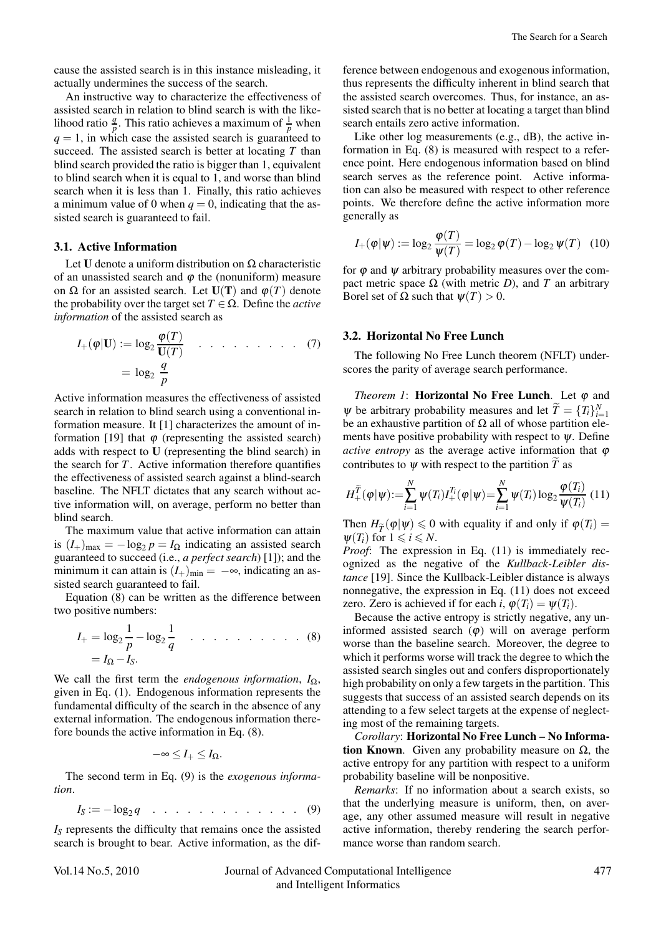cause the assisted search is in this instance misleading, it actually undermines the success of the search.

An instructive way to characterize the effectiveness of assisted search in relation to blind search is with the likelihood ratio  $\frac{q}{p}$ . This ratio achieves a maximum of  $\frac{1}{p}$  when  $q = 1$ , in which case the assisted search is guaranteed to succeed. The assisted search is better at locating *T* than blind search provided the ratio is bigger than 1, equivalent to blind search when it is equal to 1, and worse than blind search when it is less than 1. Finally, this ratio achieves a minimum value of 0 when  $q = 0$ , indicating that the assisted search is guaranteed to fail.

## 3.1. Active Information

Let U denote a uniform distribution on  $Ω$  characteristic of an unassisted search and  $\varphi$  the (nonuniform) measure on Ω for an assisted search. Let  $U(T)$  and  $\varphi(T)$  denote the probability over the target set  $T \in \Omega$ . Define the *active information* of the assisted search as

$$
I_{+}(\varphi|\mathbf{U}) := \log_2 \frac{\varphi(T)}{\mathbf{U}(T)} \quad \dots \quad \dots \quad \dots \quad (7)
$$

$$
= \log_2 \frac{q}{p}
$$

Active information measures the effectiveness of assisted search in relation to blind search using a conventional information measure. It [1] characterizes the amount of information [19] that  $\varphi$  (representing the assisted search) adds with respect to U (representing the blind search) in the search for *T*. Active information therefore quantifies the effectiveness of assisted search against a blind-search baseline. The NFLT dictates that any search without active information will, on average, perform no better than blind search.

The maximum value that active information can attain is  $(I_+)_{\text{max}} = -\log_2 p = I_\Omega$  indicating an assisted search guaranteed to succeed (i.e., *a perfect search*) [1]); and the minimum it can attain is  $(I_+)_{\text{min}} = -\infty$ , indicating an assisted search guaranteed to fail.

Equation (8) can be written as the difference between two positive numbers:

$$
I_{+} = \log_2 \frac{1}{p} - \log_2 \frac{1}{q} \quad \dots \quad \dots \quad \dots \quad . \tag{8}
$$

$$
= I_{\Omega} - I_{S}.
$$

We call the first term the *endogenous information*, *I*<sub>Ω</sub>, given in Eq. (1). Endogenous information represents the fundamental difficulty of the search in the absence of any external information. The endogenous information therefore bounds the active information in Eq. (8).

$$
-\infty \leq I_+ \leq I_\Omega.
$$

The second term in Eq. (9) is the *exogenous information*.

$$
I_S := -\log_2 q \quad \dots \quad \dots \quad \dots \quad \dots \quad . \quad . \quad . \quad (9)
$$

*IS* represents the difficulty that remains once the assisted search is brought to bear. Active information, as the difference between endogenous and exogenous information, thus represents the difficulty inherent in blind search that the assisted search overcomes. Thus, for instance, an assisted search that is no better at locating a target than blind search entails zero active information.

Like other log measurements (e.g., dB), the active information in Eq. (8) is measured with respect to a reference point. Here endogenous information based on blind search serves as the reference point. Active information can also be measured with respect to other reference points. We therefore define the active information more generally as

$$
I_{+}(\varphi|\psi) := \log_2 \frac{\varphi(T)}{\psi(T)} = \log_2 \varphi(T) - \log_2 \psi(T) \quad (10)
$$

for  $\varphi$  and  $\psi$  arbitrary probability measures over the compact metric space  $Ω$  (with metric *D*), and *T* an arbitrary Borel set of Ω such that  $ψ(T) > 0$ .

#### 3.2. Horizontal No Free Lunch

The following No Free Lunch theorem (NFLT) underscores the parity of average search performance.

*Theorem 1*: **Horizontal No Free Lunch**. Let  $\varphi$  and  $\Psi$  be arbitrary probability measures and let  $\widetilde{T} = \{T_i\}_{i=1}^N$ be an exhaustive partition of  $\Omega$  all of whose partition elements have positive probability with respect to  $\psi$ . Define *active entropy* as the average active information that  $\varphi$ contributes to  $\psi$  with respect to the partition *T* as

$$
H_+^{\widetilde{T}}(\varphi|\psi) := \sum_{i=1}^N \psi(T_i) I_+^{T_i}(\varphi|\psi) = \sum_{i=1}^N \psi(T_i) \log_2 \frac{\varphi(T_i)}{\psi(T_i)} \tag{11}
$$

Then  $H_{\widetilde{T}}(\varphi|\psi) \leq 0$  with equality if and only if  $\varphi(T_i) =$  $\psi(T_i)$  for  $1 \leq i \leq N$ .

*Proof*: The expression in Eq. (11) is immediately recognized as the negative of the *Kullback-Leibler distance* [19]. Since the Kullback-Leibler distance is always nonnegative, the expression in Eq. (11) does not exceed zero. Zero is achieved if for each *i*,  $\varphi(T_i) = \psi(T_i)$ .

Because the active entropy is strictly negative, any uninformed assisted search  $(\varphi)$  will on average perform worse than the baseline search. Moreover, the degree to which it performs worse will track the degree to which the assisted search singles out and confers disproportionately high probability on only a few targets in the partition. This suggests that success of an assisted search depends on its attending to a few select targets at the expense of neglecting most of the remaining targets.

*Corollary*: Horizontal No Free Lunch – No Information Known. Given any probability measure on  $Ω$ , the active entropy for any partition with respect to a uniform probability baseline will be nonpositive.

*Remarks*: If no information about a search exists, so that the underlying measure is uniform, then, on average, any other assumed measure will result in negative active information, thereby rendering the search performance worse than random search.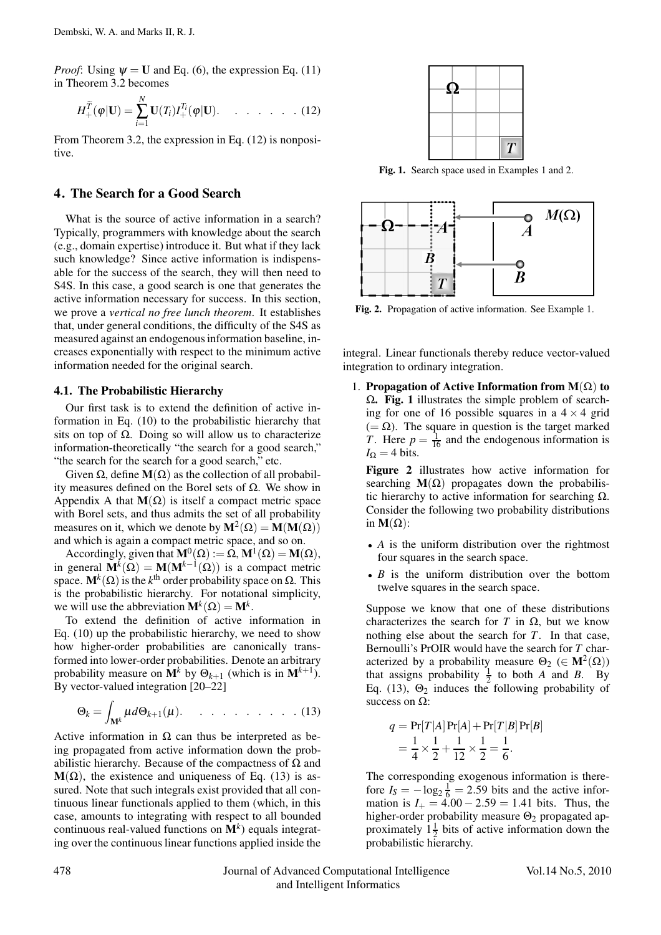*Proof*: Using  $\psi = U$  and Eq. (6), the expression Eq. (11) in Theorem 3.2 becomes

$$
H_+^{\widetilde{T}}(\varphi|\mathbf{U})=\sum_{i=1}^N\mathbf{U}(T_i)I_+^{T_i}(\varphi|\mathbf{U}).\qquad \qquad \ldots \qquad (12)
$$

From Theorem 3.2, the expression in Eq. (12) is nonpositive.

#### 4. The Search for a Good Search

What is the source of active information in a search? Typically, programmers with knowledge about the search (e.g., domain expertise) introduce it. But what if they lack such knowledge? Since active information is indispensable for the success of the search, they will then need to S4S. In this case, a good search is one that generates the active information necessary for success. In this section, we prove a *vertical no free lunch theorem*. It establishes that, under general conditions, the difficulty of the S4S as measured against an endogenous information baseline, increases exponentially with respect to the minimum active information needed for the original search.

#### 4.1. The Probabilistic Hierarchy

Our first task is to extend the definition of active information in Eq. (10) to the probabilistic hierarchy that sits on top of  $\Omega$ . Doing so will allow us to characterize information-theoretically "the search for a good search," "the search for the search for a good search," etc.

Given  $\Omega$ , define  $M(\Omega)$  as the collection of all probability measures defined on the Borel sets of Ω. We show in Appendix A that  $M(\Omega)$  is itself a compact metric space with Borel sets, and thus admits the set of all probability measures on it, which we denote by  $M^2(\Omega) = M(M(\Omega))$ and which is again a compact metric space, and so on.

Accordingly, given that  $\mathbf{M}^{0}(\Omega) := \Omega, \mathbf{M}^{1}(\Omega) = \mathbf{M}(\Omega)$ , in general  $\mathbf{M}^{k}(\Omega) = \mathbf{M}(\mathbf{M}^{k-1}(\Omega))$  is a compact metric space.  $\mathbf{M}^k(\Omega)$  is the *k*<sup>th</sup> order probability space on  $\Omega$ . This is the probabilistic hierarchy. For notational simplicity, we will use the abbreviation  $\mathbf{M}^k(\Omega) = \mathbf{M}^k$ .

To extend the definition of active information in Eq. (10) up the probabilistic hierarchy, we need to show how higher-order probabilities are canonically transformed into lower-order probabilities. Denote an arbitrary probability measure on  $M^k$  by  $\Theta_{k+1}$  (which is in  $M^{k+1}$ ). By vector-valued integration [20–22]

$$
\Theta_k = \int_{\mathbf{M}^k} \mu d\Theta_{k+1}(\mu). \qquad \ldots \qquad \ldots \qquad (13)
$$

Active information in  $\Omega$  can thus be interpreted as being propagated from active information down the probabilistic hierarchy. Because of the compactness of  $\Omega$  and  $M(\Omega)$ , the existence and uniqueness of Eq. (13) is assured. Note that such integrals exist provided that all continuous linear functionals applied to them (which, in this case, amounts to integrating with respect to all bounded continuous real-valued functions on  $M^k$ ) equals integrating over the continuous linear functions applied inside the



Fig. 1. Search space used in Examples 1 and 2.



Fig. 2. Propagation of active information. See Example 1.

integral. Linear functionals thereby reduce vector-valued integration to ordinary integration.

1. Propagation of Active Information from  $M(\Omega)$  to  $Ω$ . Fig. 1 illustrates the simple problem of searching for one of 16 possible squares in a  $4 \times 4$  grid  $(=\Omega)$ . The square in question is the target marked *T*. Here  $p = \frac{1}{16}$  and the endogenous information is  $I_{\Omega} = 4$  bits.

Figure 2 illustrates how active information for searching  $M(\Omega)$  propagates down the probabilistic hierarchy to active information for searching  $\Omega$ . Consider the following two probability distributions in  $M(\Omega)$ :

- *A* is the uniform distribution over the rightmost four squares in the search space.
- *B* is the uniform distribution over the bottom twelve squares in the search space.

Suppose we know that one of these distributions characterizes the search for *T* in  $\Omega$ , but we know nothing else about the search for *T*. In that case, Bernoulli's PrOIR would have the search for *T* characterized by a probability measure  $\Theta_2 \in M^2(\Omega)$ ) that assigns probability  $\frac{1}{2}$  to both *A* and *B*. By Eq. (13),  $\Theta_2$  induces the following probability of success on  $Ω$ :

$$
q = \Pr[T|A]\Pr[A] + \Pr[T|B]\Pr[B]
$$
  
=  $\frac{1}{4} \times \frac{1}{2} + \frac{1}{12} \times \frac{1}{2} = \frac{1}{6}$ .

The corresponding exogenous information is therefore  $I_s = -\log_2 \frac{1}{6} = 2.59$  bits and the active information is  $I_+ = 4.00 - 2.59 = 1.41$  bits. Thus, the higher-order probability measure  $\Theta_2$  propagated approximately  $1\frac{1}{2}$  bits of active information down the probabilistic hierarchy.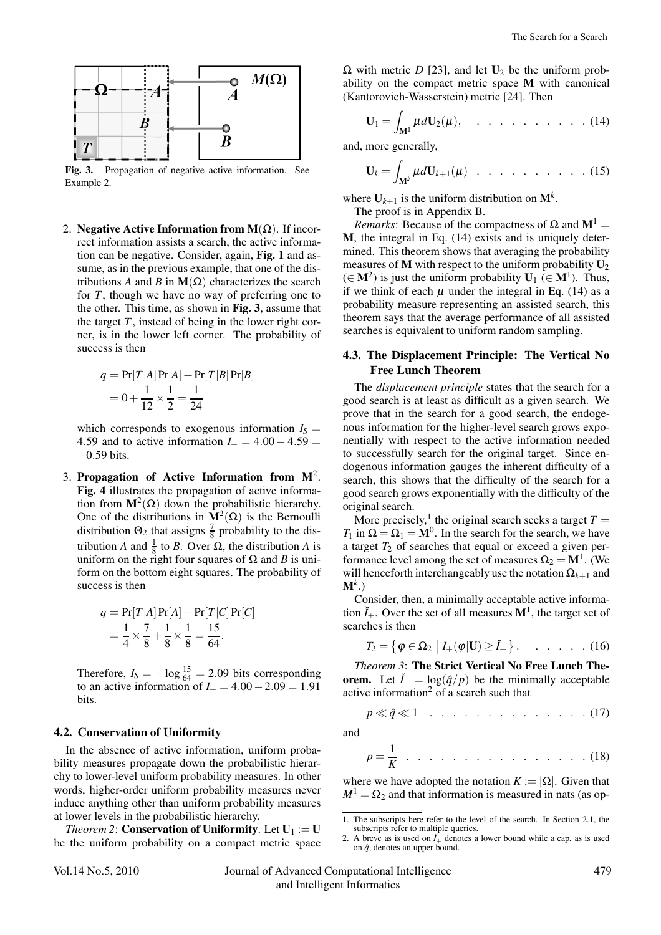

Fig. 3. Propagation of negative active information. See Example 2.

2. Negative Active Information from  $M(\Omega)$ . If incorrect information assists a search, the active information can be negative. Consider, again, Fig. 1 and assume, as in the previous example, that one of the distributions *A* and *B* in  $M(\Omega)$  characterizes the search for *T*, though we have no way of preferring one to the other. This time, as shown in Fig. 3, assume that the target  $T$ , instead of being in the lower right corner, is in the lower left corner. The probability of success is then

$$
q = \Pr[T|A] \Pr[A] + \Pr[T|B] \Pr[B]
$$
  
=  $0 + \frac{1}{12} \times \frac{1}{2} = \frac{1}{24}$ 

which corresponds to exogenous information  $I_S =$ 4.59 and to active information  $I_+ = 4.00 - 4.59 =$ −0.59 bits.

3. Propagation of Active Information from  $M^2$ . Fig. 4 illustrates the propagation of active information from  $M^2(\Omega)$  down the probabilistic hierarchy. One of the distributions in  $M^2(\Omega)$  is the Bernoulli distribution  $\Theta_2$  that assigns  $\frac{7}{8}$  probability to the distribution *A* and  $\frac{1}{8}$  to *B*. Over Ω, the distribution *A* is uniform on the right four squares of  $Ω$  and *B* is uniform on the bottom eight squares. The probability of success is then

$$
q = \Pr[T|A] \Pr[A] + \Pr[T|C] \Pr[C]
$$
  
=  $\frac{1}{4} \times \frac{7}{8} + \frac{1}{8} \times \frac{1}{8} = \frac{15}{64}.$ 

Therefore,  $I_S = -\log \frac{15}{64} = 2.09$  bits corresponding to an active information of  $I_+ = 4.00 - 2.09 = 1.91$ bits.

## 4.2. Conservation of Uniformity

In the absence of active information, uniform probability measures propagate down the probabilistic hierarchy to lower-level uniform probability measures. In other words, higher-order uniform probability measures never induce anything other than uniform probability measures at lower levels in the probabilistic hierarchy.

*Theorem 2*: **Conservation of Uniformity**. Let  $U_1 := U$ be the uniform probability on a compact metric space  $Ω$  with metric *D* [23], and let  **be the uniform prob**ability on the compact metric space M with canonical (Kantorovich-Wasserstein) metric [24]. Then

$$
\mathbf{U}_1 = \int_{\mathbf{M}^1} \mu d\mathbf{U}_2(\mu), \quad \dots \quad \dots \quad \dots \quad . \quad . \quad . \quad . \quad . \tag{14}
$$

and, more generally,

$$
\mathbf{U}_k = \int_{\mathbf{M}^k} \mu d\mathbf{U}_{k+1}(\mu) \quad \dots \quad \dots \quad \dots \quad \dots \quad (15)
$$

where  $U_{k+1}$  is the uniform distribution on  $M^k$ .

The proof is in Appendix B.

*Remarks*: Because of the compactness of  $\Omega$  and  $M^1$  = M, the integral in Eq. (14) exists and is uniquely determined. This theorem shows that averaging the probability measures of M with respect to the uniform probability  $U_2$  $(\in \mathbf{M}^2)$  is just the uniform probability  $\mathbf{U}_1$  ( $\in \mathbf{M}^1$ ). Thus, if we think of each  $\mu$  under the integral in Eq. (14) as a probability measure representing an assisted search, this theorem says that the average performance of all assisted searches is equivalent to uniform random sampling.

## 4.3. The Displacement Principle: The Vertical No Free Lunch Theorem

The *displacement principle* states that the search for a good search is at least as difficult as a given search. We prove that in the search for a good search, the endogenous information for the higher-level search grows exponentially with respect to the active information needed to successfully search for the original target. Since endogenous information gauges the inherent difficulty of a search, this shows that the difficulty of the search for a good search grows exponentially with the difficulty of the original search.

More precisely,<sup>1</sup> the original search seeks a target  $T =$ *T*<sub>1</sub> in  $\Omega = \Omega_1 = M^0$ . In the search for the search, we have a target  $T_2$  of searches that equal or exceed a given performance level among the set of measures  $\Omega_2 = M<sup>1</sup>$ . (We will henceforth interchangeably use the notation  $\Omega_{k+1}$  and  $M^k$ .)

Consider, then, a minimally acceptable active information  $\check{I}_+$ . Over the set of all measures  $\mathbf{M}^1$ , the target set of searches is then

$$
T_2 = \left\{ \varphi \in \Omega_2 \middle| I_+(\varphi | \mathbf{U}) \geq \check{I}_+ \right\}. \qquad \dots \qquad (16)
$$

*Theorem 3*: The Strict Vertical No Free Lunch Theorem. Let  $\check{I}_+ = \log(\hat{q}/p)$  be the minimally acceptable active information $2$  of a search such that

$$
p \ll \hat{q} \ll 1 \quad \ldots \quad \ldots \quad \ldots \quad \ldots \quad \ldots \quad (17)
$$

and

$$
p = \frac{1}{K} \cdot \cdot \cdot \cdot \cdot \cdot \cdot \cdot \cdot \cdot \cdot \cdot \cdot \cdot \cdot \cdot \cdot \cdot (18)
$$

where we have adopted the notation  $K := |\Omega|$ . Given that  $M^1 = \Omega_2$  and that information is measured in nats (as op-

<sup>1.</sup> The subscripts here refer to the level of the search. In Section 2.1, the subscripts refer to multiple queries.

<sup>2.</sup> A breve as is used on  $\check{T}_+$  denotes a lower bound while a cap, as is used on  $\hat{q}$ , denotes an upper bound.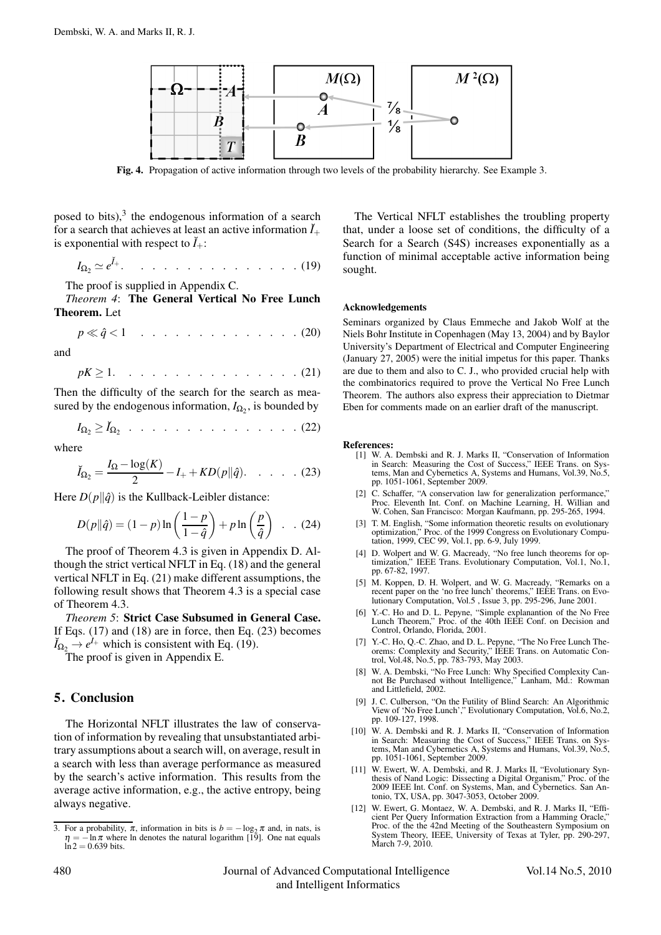

Fig. 4. Propagation of active information through two levels of the probability hierarchy. See Example 3.

posed to bits), $3$  the endogenous information of a search for a search that achieves at least an active information  $\tilde{I}_+$ is exponential with respect to  $\check{I}_+$ :

$$
I_{\Omega_2} \simeq e^{\tilde{I}_{+}}.\t\ldots.\t\ldots.\t\ldots.\t\ldots.\t(19)
$$

The proof is supplied in Appendix C.

*Theorem 4*: The General Vertical No Free Lunch Theorem. Let

$$
p \ll \hat{q} < 1 \quad \ldots \quad \ldots \quad \ldots \quad \ldots \quad . \quad . \quad . \quad . \quad . \quad (20)
$$

and

 $pK \geq 1$ . . . . . . . . . . . . . . . (21)

Then the difficulty of the search for the search as measured by the endogenous information,  $I_{\Omega_2}$ , is bounded by

$$
I_{\Omega_2} \geq \check{I}_{\Omega_2} \ldots \ldots \ldots \ldots \ldots \ldots \ldots \ldots (22)
$$

where

$$
\check{I}_{\Omega_2} = \frac{I_{\Omega} - \log(K)}{2} - I_+ + KD(p||\hat{q}). \quad . \quad . \quad . \quad . \quad . \quad . \tag{23}
$$

Here  $D(p||\hat{q})$  is the Kullback-Leibler distance:

$$
D(p||\hat{q}) = (1-p)\ln\left(\frac{1-p}{1-\hat{q}}\right) + p\ln\left(\frac{p}{\hat{q}}\right) \quad . \quad . \quad (24)
$$

The proof of Theorem 4.3 is given in Appendix D. Although the strict vertical NFLT in Eq. (18) and the general vertical NFLT in Eq. (21) make different assumptions, the following result shows that Theorem 4.3 is a special case of Theorem 4.3.

*Theorem 5*: Strict Case Subsumed in General Case. If Eqs. (17) and (18) are in force, then Eq. (23) becomes  $\check{I}_{\Omega_2} \rightarrow e^{\check{I}_+}$  which is consistent with Eq. (19).

The proof is given in Appendix E.

## 5. Conclusion

The Horizontal NFLT illustrates the law of conservation of information by revealing that unsubstantiated arbitrary assumptions about a search will, on average, result in a search with less than average performance as measured by the search's active information. This results from the average active information, e.g., the active entropy, being always negative.

The Vertical NFLT establishes the troubling property that, under a loose set of conditions, the difficulty of a Search for a Search (S4S) increases exponentially as a function of minimal acceptable active information being sought.

#### Acknowledgements

Seminars organized by Claus Emmeche and Jakob Wolf at the Niels Bohr Institute in Copenhagen (May 13, 2004) and by Baylor University's Department of Electrical and Computer Engineering (January 27, 2005) were the initial impetus for this paper. Thanks are due to them and also to C. J., who provided crucial help with the combinatorics required to prove the Vertical No Free Lunch Theorem. The authors also express their appreciation to Dietmar Eben for comments made on an earlier draft of the manuscript.

#### References:

- [1] W. A. Dembski and R. J. Marks II, "Conservation of Information in Search: Measuring the Cost of Success," IEEE Trans. on Systems, Man and Cybernetics A, Systems and Humans, Vol.39, No.5, pp. 1051-1061, September 2009.
- [2] C. Schaffer, "A conservation law for generalization performance," Proc. Eleventh Int. Conf. on Machine Learning, H. Willian and W. Cohen, San Francisco: Morgan Kaufmann, pp. 295-265, 1994.
- [3] T. M. English, "Some information theoretic results on evolutionary optimization," Proc. of the 1999 Congress on Evolutionary Computation, 1999, CEC 99, Vol.1, pp. 6-9, July 1999.
- [4] D. Wolpert and W. G. Macready, "No free lunch theorems for op-timization," IEEE Trans. Evolutionary Computation, Vol.1, No.1, pp. 67-82, 1997.
- [5] M. Koppen, D. H. Wolpert, and W. G. Macready, "Remarks on a recent paper on the 'no free lunch' theorems," IEEE Trans. on Evolutionary Computation, Vol.5 , Issue 3, pp. 295-296, June 2001.
- [6] Y.-C. Ho and D. L. Pepyne, "Simple explanantion of the No Free Lunch Theorem," Proc. of the 40th IEEE Conf. on Decision and Control, Orlando, Florida, 2001.
- [7] Y.-C. Ho, Q.-C. Zhao, and D. L. Pepyne, "The No Free Lunch Theorems: Complexity and Security," IEEE Trans. on Automatic Control, Vol.48, No.5, pp. 783-793, May 2003.
- [8] W. A. Dembski, "No Free Lunch: Why Specified Complexity Cannot Be Purchased without Intelligence," Lanham, Md.: Rowman and Littlefield, 2002.
- [9] J. C. Culberson, "On the Futility of Blind Search: An Algorithmic View of 'No Free Lunch'," Evolutionary Computation, Vol.6, No.2, pp. 109-127, 1998.
- [10] W. A. Dembski and R. J. Marks II, "Conservation of Information in Search: Measuring the Cost of Success," IEEE Trans. on Systems, Man and Cybernetics A, Systems and Humans, Vol.39, No.5, pp. 1051-1061, September 2009.
- [11] W. Ewert, W. A. Dembski, and R. J. Marks II, "Evolutionary Synthesis of Nand Logic: Dissecting a Digital Organism," Proc. of the 2009 IEEE Int. Conf. on Systems, Man, and Cybernetics. San Antonio, TX, USA, pp. 3047-3053, October 2009.
- [12] W. Ewert, G. Montaez, W. A. Dembski, and R. J. Marks II, "Efficient Per Query Information Extraction from a Hamming Oracle," Proc. of the the 42nd Meeting of the Southeastern Symposium on System Theory, IEEE, University of Texas at Tyler, pp. 290-297, March 7-9, 2010.

<sup>3.</sup> For a probability,  $\pi$ , information in bits is  $b = -\log_2 \pi$  and, in nats, is  $\eta = -\ln \pi$  where ln denotes the natural logarithm [19]. One nat equals  $ln 2 = 0.639$  bits.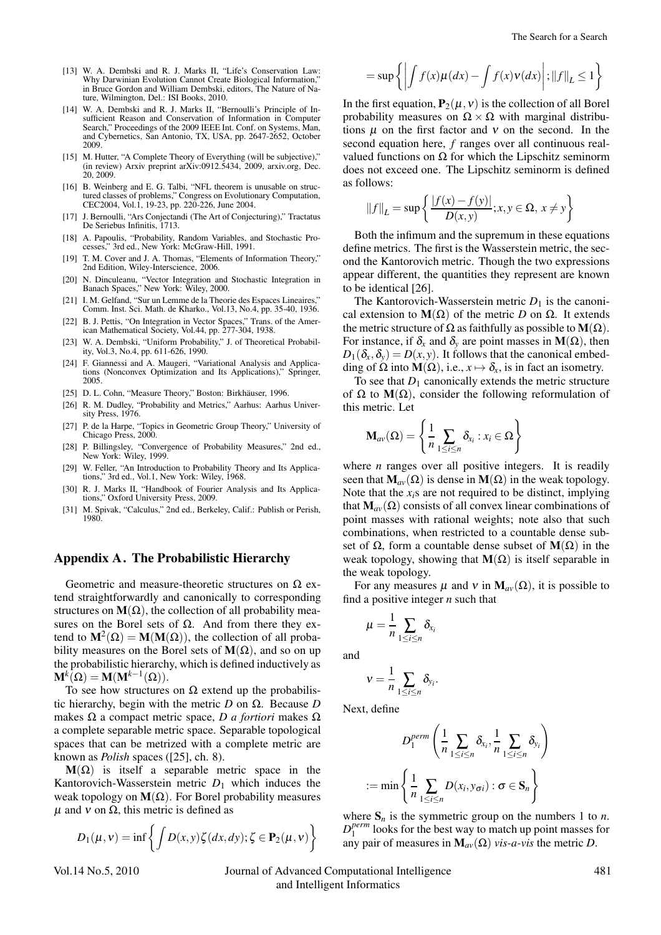- [13] W. A. Dembski and R. J. Marks II, "Life's Conservation Law: Why Darwinian Evolution Cannot Create Biological Information, in Bruce Gordon and William Dembski, editors, The Nature of Nature, Wilmington, Del.: ISI Books, 2010.
- [14] W. A. Dembski and R. J. Marks II, "Bernoulli's Principle of Insufficient Reason and Conservation of Information in Computer Search," Proceedings of the 2009 IEEE Int. Conf. on Systems, Man, and Cybernetics, San Antonio, TX, USA, pp. 2647-2652, October 2009.
- [15] M. Hutter, "A Complete Theory of Everything (will be subjective)," (in review) Arxiv preprint arXiv:0912.5434, 2009, arxiv.org, Dec. 20, 2009.
- [16] B. Weinberg and E. G. Talbi, "NFL theorem is unusable on structured classes of problems," Congress on Evolutionary Computation, CEC2004, Vol.1, 19-23, pp. 220-226, June 2004.
- [17] J. Bernoulli, "Ars Conjectandi (The Art of Conjecturing)," Tractatus De Seriebus Infinitis, 1713.
- [18] A. Papoulis, "Probability, Random Variables, and Stochastic Processes," 3rd ed., New York: McGraw-Hill, 1991.
- [19] T. M. Cover and J. A. Thomas, "Elements of Information Theory," 2nd Edition, Wiley-Interscience, 2006.
- [20] N. Dinculeanu, "Vector Integration and Stochastic Integration in Banach Spaces," New York: Wiley, 2000.
- [21] I. M. Gelfand, "Sur un Lemme de la Theorie des Espaces Lineaires." Comm. Inst. Sci. Math. de Kharko., Vol.13, No.4, pp. 35-40, 1936.
- [22] B. J. Pettis, "On Integration in Vector Spaces," Trans. of the American Mathematical Society, Vol.44, pp. 277-304, 1938.
- [23] W. A. Dembski, "Uniform Probability," J. of Theoretical Probability, Vol.3, No.4, pp. 611-626, 1990.
- [24] F. Giannessi and A. Maugeri, "Variational Analysis and Applications (Nonconvex Optimization and Its Applications)," Springer, 2005.
- [25] D. L. Cohn, "Measure Theory," Boston: Birkhäuser, 1996.
- [26] R. M. Dudley, "Probability and Metrics," Aarhus: Aarhus University Press, 1976.
- [27] P. de la Harpe, "Topics in Geometric Group Theory," University of Chicago Press, 2000.
- [28] P. Billingsley, "Convergence of Probability Measures," 2nd ed., New York: Wiley, 1999.
- [29] W. Feller, "An Introduction to Probability Theory and Its Applications," 3rd ed., Vol.1, New York: Wiley, 1968.
- [30] R. J. Marks II, "Handbook of Fourier Analysis and Its Applications," Oxford University Press, 2009.
- [31] M. Spivak, "Calculus," 2nd ed., Berkeley, Calif.: Publish or Perish, 1980.

## Appendix A. The Probabilistic Hierarchy

Geometric and measure-theoretic structures on  $\Omega$  extend straightforwardly and canonically to corresponding structures on  $M(\Omega)$ , the collection of all probability measures on the Borel sets of  $\Omega$ . And from there they extend to  $M^2(\Omega) = M(M(\Omega))$ , the collection of all probability measures on the Borel sets of  $M(\Omega)$ , and so on up the probabilistic hierarchy, which is defined inductively as  $\mathbf{M}^k(\Omega) = \mathbf{M}(\mathbf{M}^{k-1}(\Omega)).$ 

To see how structures on  $\Omega$  extend up the probabilistic hierarchy, begin with the metric *D* on Ω. Because *D* makes Ω a compact metric space, *D a fortiori* makes Ω a complete separable metric space. Separable topological spaces that can be metrized with a complete metric are known as *Polish* spaces ([25], ch. 8).

 $M(\Omega)$  is itself a separable metric space in the Kantorovich-Wasserstein metric  $D_1$  which induces the weak topology on  $M(\Omega)$ . For Borel probability measures  $\mu$  and  $\nu$  on  $\Omega$ , this metric is defined as

$$
D_1(\mu, v) = \inf \left\{ \int D(x, y) \zeta(dx, dy); \zeta \in \mathbf{P}_2(\mu, v) \right\}
$$

Vol.14 No.5, 2010 Journal of Advanced Computational Intelligence 481 and Intelligent Informatics

$$
= \sup \left\{ \left| \int f(x) \mu(dx) - \int f(x) \nu(dx) \right|; \|f\|_{L} \le 1 \right\}
$$

In the first equation,  $P_2(\mu, v)$  is the collection of all Borel probability measures on  $\Omega \times \Omega$  with marginal distributions  $\mu$  on the first factor and  $\nu$  on the second. In the second equation here, *f* ranges over all continuous realvalued functions on  $\Omega$  for which the Lipschitz seminorm does not exceed one. The Lipschitz seminorm is defined as follows:

$$
||f||_L = \sup \left\{ \frac{|f(x) - f(y)|}{D(x,y)}; x, y \in \Omega, x \neq y \right\}
$$

Both the infimum and the supremum in these equations define metrics. The first is the Wasserstein metric, the second the Kantorovich metric. Though the two expressions appear different, the quantities they represent are known to be identical [26].

The Kantorovich-Wasserstein metric  $D_1$  is the canonical extension to  $M(\Omega)$  of the metric *D* on  $\Omega$ . It extends the metric structure of  $\Omega$  as faithfully as possible to  $\mathbf{M}(\Omega)$ . For instance, if  $\delta_x$  and  $\delta_y$  are point masses in  $M(\Omega)$ , then  $D_1(\delta_x, \delta_y) = D(x, y)$ . It follows that the canonical embedding of  $\Omega$  into  $\mathbf{M}(\Omega)$ , i.e.,  $x \mapsto \delta_x$ , is in fact an isometry.

To see that  $D_1$  canonically extends the metric structure of  $\Omega$  to  $M(\Omega)$ , consider the following reformulation of this metric. Let

$$
\mathbf{M}_{av}(\Omega) = \left\{ \frac{1}{n} \sum_{1 \leq i \leq n} \delta_{x_i} : x_i \in \Omega \right\}
$$

where *n* ranges over all positive integers. It is readily seen that  $M_{av}(\Omega)$  is dense in  $M(\Omega)$  in the weak topology. Note that the *xi*s are not required to be distinct, implying that  $M_{av}(\Omega)$  consists of all convex linear combinations of point masses with rational weights; note also that such combinations, when restricted to a countable dense subset of  $\Omega$ , form a countable dense subset of  $M(\Omega)$  in the weak topology, showing that  $M(\Omega)$  is itself separable in the weak topology.

For any measures  $\mu$  and  $v$  in  $M_{av}(\Omega)$ , it is possible to find a positive integer *n* such that

$$
\mu=\frac{1}{n}\sum_{1\leq i\leq n}\delta_{x_i}
$$

and

$$
v=\frac{1}{n}\sum_{1\leq i\leq n}\delta_{y_i}.
$$

Next, define

$$
D_1^{perm}\left(\frac{1}{n}\sum_{1\leq i\leq n}\delta_{x_i},\frac{1}{n}\sum_{1\leq i\leq n}\delta_{y_i}\right)
$$
  
 := min
$$
\left\{\frac{1}{n}\sum_{1\leq i\leq n}D(x_i,y_{\sigma i}): \sigma\in\mathbf{S}_n\right\}
$$

where  $S_n$  is the symmetric group on the numbers 1 to *n*.  $D_1^{perm}$  looks for the best way to match up point masses for any pair of measures in  $M_{av}(\Omega)$  *vis-a-vis* the metric *D*.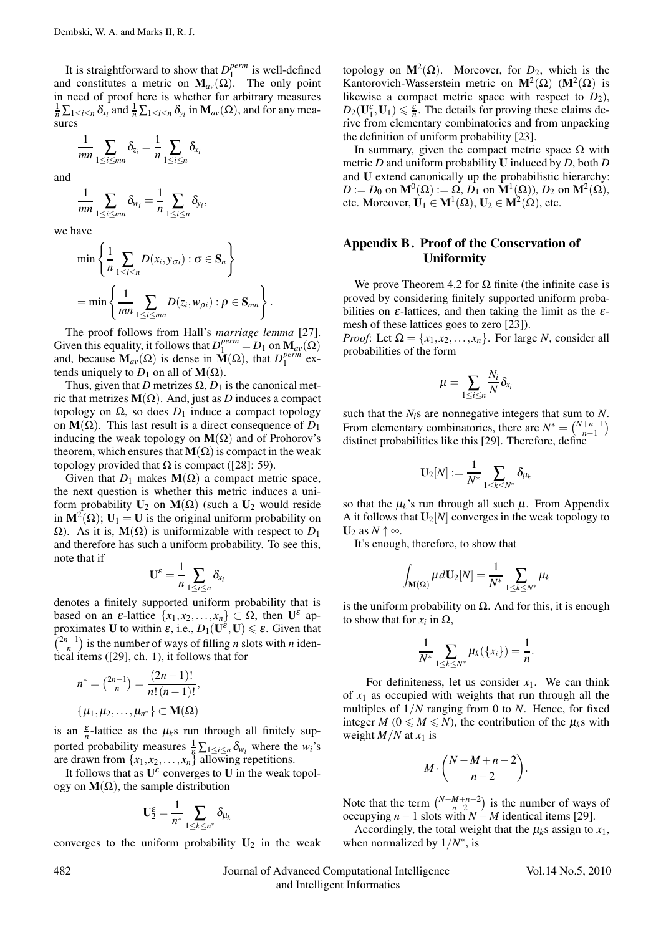It is straightforward to show that  $D_1^{perm}$  is well-defined and constitutes a metric on  $M_{av}(\Omega)$ . The only point in need of proof here is whether for arbitrary measures  $\frac{1}{n}\sum_{1\leq i\leq n}\delta_{x_i}$  and  $\frac{1}{n}\sum_{1\leq i\leq n}\delta_{y_i}$  in  $\mathbf{M}_{av}(\Omega)$ , and for any measures

$$
\frac{1}{mn} \sum_{1 \leq i \leq mn} \delta_{z_i} = \frac{1}{n} \sum_{1 \leq i \leq n} \delta_{x_i}
$$

and

$$
\frac{1}{mn}\sum_{1\leq i\leq mn}\delta_{w_i}=\frac{1}{n}\sum_{1\leq i\leq n}\delta_{y_i},
$$

we have

$$
\min \left\{\frac{1}{n}\sum_{1\leq i\leq n}D(x_i,y_{\sigma i}): \sigma \in \mathbf{S}_n\right\}
$$
  
= 
$$
\min \left\{\frac{1}{mn}\sum_{1\leq i\leq mn}D(z_i,w_{\rho i}): \rho \in \mathbf{S}_{mn}\right\}.
$$

The proof follows from Hall's *marriage lemma* [27]. Given this equality, it follows that  $D_1^{perm} = D_1$  on  $\mathbf{M}_{av}(\Omega)$ and, because  $\mathbf{M}_{av}(\Omega)$  is dense in  $\mathbf{M}(\Omega)$ , that  $D_1^{perm}$  extends uniquely to  $D_1$  on all of  $\mathbf{M}(\Omega)$ .

Thus, given that *D* metrizes  $\Omega$ ,  $D_1$  is the canonical metric that metrizes  $M(\Omega)$ . And, just as *D* induces a compact topology on  $\Omega$ , so does  $D_1$  induce a compact topology on  $M(\Omega)$ . This last result is a direct consequence of *D*<sub>1</sub> inducing the weak topology on  $M(\Omega)$  and of Prohorov's theorem, which ensures that  $M(\Omega)$  is compact in the weak topology provided that  $\Omega$  is compact ([28]: 59).

Given that  $D_1$  makes  $\mathbf{M}(\Omega)$  a compact metric space, the next question is whether this metric induces a uniform probability  $U_2$  on  $M(\Omega)$  (such a  $U_2$  would reside in  $M^2(\Omega)$ ;  $U_1 = U$  is the original uniform probability on Ω). As it is,  **is uniformizable with respect to**  $D_1$ and therefore has such a uniform probability. To see this, note that if

$$
\mathbf{U}^{\varepsilon}=\frac{1}{n}\sum_{1\leq i\leq n}\delta_{x_i}
$$

denotes a finitely supported uniform probability that is based on an  $\varepsilon$ -lattice  $\{x_1, x_2,..., x_n\} \subset \Omega$ , then  $\mathbf{U}^{\varepsilon}$  approximates **U** to within  $\varepsilon$ , i.e.,  $D_1(\mathbf{U}^{\varepsilon}, \mathbf{U}) \leq \varepsilon$ . Given that  $\binom{2n-1}{n}$  is the number of ways of filling *n* slots with *n* identical items ([29], ch. 1), it follows that for

$$
n^* = \binom{2n-1}{n} = \frac{(2n-1)!}{n!(n-1)!},
$$
  
{ $\mu_1, \mu_2, ..., \mu_{n^*}$ }  $\subset$  **M**( $\Omega$ )

is an  $\frac{\varepsilon}{n}$ -lattice as the  $\mu_k$ s run through all finitely supported probability measures  $\frac{1}{n} \sum_{1 \leq i \leq n} \delta_{w_i}$  where the *w<sub>i</sub>*'s are drawn from  $\{x_1, x_2, \ldots, x_n\}$  allowing repetitions.

It follows that as  $U^{\varepsilon}$  converges to U in the weak topology on  $M(\Omega)$ , the sample distribution

$$
\mathbf{U}^\varepsilon_2 = \frac{1}{n^*} \sum_{1 \leq k \leq n^*} \delta_{\mu_k}
$$

converges to the uniform probability  $U_2$  in the weak

topology on  $M^2(\Omega)$ . Moreover, for  $D_2$ , which is the Kantorovich-Wasserstein metric on  $M^2(\Omega)$  ( $M^2(\Omega)$ ) is likewise a compact metric space with respect to  $D_2$ ),  $D_2(\mathbf{U}_1^{\varepsilon}, \mathbf{U}_1) \leq \frac{\varepsilon}{n}$ . The details for proving these claims derive from elementary combinatorics and from unpacking the definition of uniform probability [23].

In summary, given the compact metric space  $Ω$  with metric *D* and uniform probability U induced by *D*, both *D* and U extend canonically up the probabilistic hierarchy:  $D := D_0$  on  $\mathbf{M}^0(\Omega) := \Omega$ ,  $D_1$  on  $\mathbf{M}^1(\Omega)$ ,  $D_2$  on  $\mathbf{M}^2(\Omega)$ , etc. Moreover,  $U_1 \in M^1(\Omega)$ ,  $U_2 \in M^2(\Omega)$ , etc.

# Appendix B. Proof of the Conservation of Uniformity

We prove Theorem 4.2 for  $\Omega$  finite (the infinite case is proved by considering finitely supported uniform probabilities on  $\varepsilon$ -lattices, and then taking the limit as the  $\varepsilon$ mesh of these lattices goes to zero [23]).

*Proof*: Let  $\Omega = \{x_1, x_2, \ldots, x_n\}$ . For large *N*, consider all probabilities of the form

$$
\mu = \sum_{1 \leq i \leq n} \frac{N_i}{N} \delta_{x_i}
$$

such that the *Ni*s are nonnegative integers that sum to *N*. From elementary combinatorics, there are  $N^* = \binom{N+n-1}{n-1}$ / distinct probabilities like this [29]. Therefore, define

$$
\mathbf{U}_2[N]:=\frac{1}{N^*}\sum_{1\leq k\leq N^*}\delta_{\mu_k}
$$

so that the  $\mu_k$ 's run through all such  $\mu$ . From Appendix A it follows that  $U_2[N]$  converges in the weak topology to  $U_2$  as  $N \uparrow \infty$ .

It's enough, therefore, to show that

$$
\int_{\mathbf{M}(\Omega)}\mu d\mathbf{U}_2[N] = \frac{1}{N^*} \sum_{1 \leq k \leq N^*} \mu_k
$$

is the uniform probability on  $\Omega$ . And for this, it is enough to show that for  $x_i$  in  $\Omega$ ,

$$
\frac{1}{N^*}\sum_{1\leq k\leq N^*}\mu_k(\{x_i\})=\frac{1}{n}.
$$

For definiteness, let us consider  $x_1$ . We can think of  $x_1$  as occupied with weights that run through all the multiples of 1/*N* ranging from 0 to *N*. Hence, for fixed integer  $M$  ( $0 \le M \le N$ ), the contribution of the  $\mu_k$ s with weight  $M/N$  at  $x_1$  is

$$
M\cdot \binom{N-M+n-2}{n-2}.
$$

Note that the term  $\binom{N-M+n-2}{n-2}$ ) is the number of ways of occupying *n*−1 slots with *N* − *M* identical items [29].

Accordingly, the total weight that the  $\mu_k$ s assign to  $x_1$ , when normalized by 1/*N*∗, is

#### 482 Journal of Advanced Computational Intelligence Vol.14 No.5, 2010 and Intelligent Informatics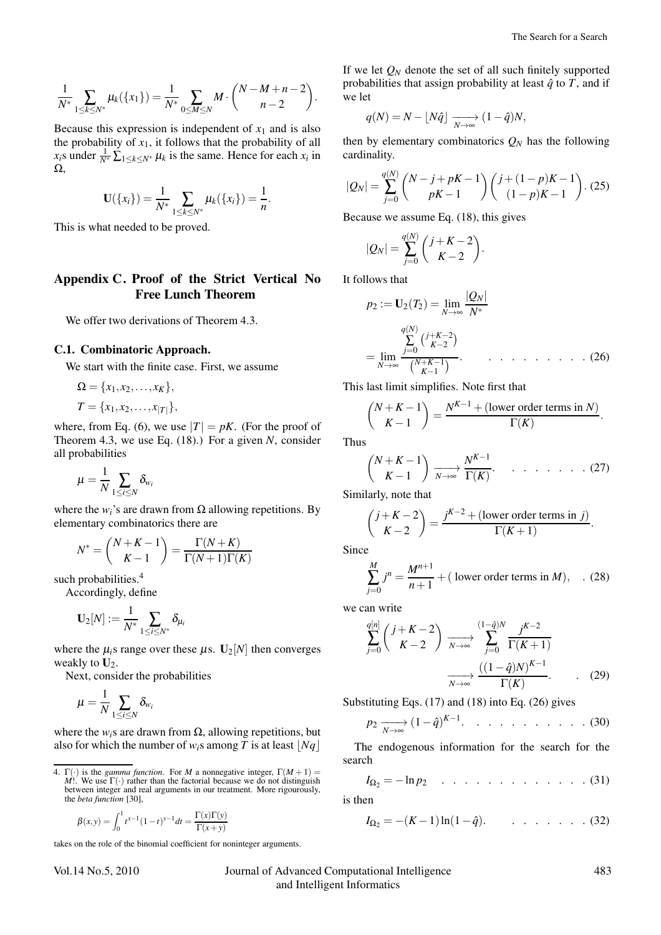$$
\frac{1}{N^*} \sum_{1 \leq k \leq N^*} \mu_k(\{x_1\}) = \frac{1}{N^*} \sum_{0 \leq M \leq N} M \cdot {N-M+n-2 \choose n-2}.
$$

Because this expression is independent of  $x_1$  and is also the probability of  $x_1$ , it follows that the probability of all  $x_i$ s under  $\frac{1}{N^*} \sum_{1 \leq k \leq N^*} \mu_k$  is the same. Hence for each  $x_i$  in  $Ω$ .

$$
\mathbf{U}(\{x_i\}) = \frac{1}{N^*} \sum_{1 \leq k \leq N^*} \mu_k(\{x_i\}) = \frac{1}{n}.
$$

This is what needed to be proved.

## Appendix C. Proof of the Strict Vertical No Free Lunch Theorem

We offer two derivations of Theorem 4.3.

## C.1. Combinatoric Approach.

We start with the finite case. First, we assume

$$
\Omega = \{x_1, x_2, \dots, x_K\},
$$
  
\n
$$
T = \{x_1, x_2, \dots, x_{|T|}\},
$$

where, from Eq. (6), we use  $|T| = pK$ . (For the proof of Theorem 4.3, we use Eq. (18).) For a given *N*, consider all probabilities

$$
\mu = \frac{1}{N} \sum_{1 \leq i \leq N} \delta_{w_i}
$$

where the  $w_i$ 's are drawn from  $\Omega$  allowing repetitions. By elementary combinatorics there are

$$
N^* = \binom{N+K-1}{K-1} = \frac{\Gamma(N+K)}{\Gamma(N+1)\Gamma(K)}
$$

such probabilities.<sup>4</sup>

Accordingly, define

$$
\mathbf{U}_2[N]:=\frac{1}{N^*}\sum_{1\leq i\leq N^*}\delta_{\mu_i}
$$

where the  $\mu_i$ s range over these  $\mu$ s. U<sub>2</sub>[*N*] then converges weakly to  $U_2$ .

Next, consider the probabilities

$$
\mu = \frac{1}{N} \sum_{1 \leq i \leq N} \delta_{w_i}
$$

where the  $w_i$ s are drawn from  $\Omega$ , allowing repetitions, but also for which the number of  $w_i$ s among *T* is at least  $|Nq|$ 

$$
\beta(x,y) = \int_0^1 t^{x-1} (1-t)^{y-1} dt = \frac{\Gamma(x)\Gamma(y)}{\Gamma(x+y)}
$$

takes on the role of the binomial coefficient for noninteger arguments.

Vol.14 No.5, 2010 Journal of Advanced Computational Intelligence 483 and Intelligent Informatics

If we let  $Q_N$  denote the set of all such finitely supported probabilities that assign probability at least  $\hat{q}$  to  $T$ , and if we let

$$
q(N) = N - \lfloor N\hat{q} \rfloor \xrightarrow[N \to \infty]{} (1 - \hat{q})N,
$$

then by elementary combinatorics  $Q_N$  has the following cardinality.

$$
|Q_N| = \sum_{j=0}^{q(N)} {N-j+pK-1 \choose pK-1} {j+(1-p)K-1 \choose (1-p)K-1}.
$$
 (25)

Because we assume Eq. (18), this gives

$$
|Q_N| = \sum_{j=0}^{q(N)} {j+K-2 \choose K-2}.
$$

It follows that

$$
p_2 := \mathbf{U}_2(T_2) = \lim_{N \to \infty} \frac{|Q_N|}{N^*}
$$
  
= 
$$
\lim_{N \to \infty} \frac{\sum_{j=0}^{q(N)} \binom{j+K-2}{K-2}}{\binom{N+K-1}{K-1}}
$$
. (26)

This last limit simplifies. Note first that

$$
\binom{N+K-1}{K-1} = \frac{N^{K-1} + (\text{lower order terms in } N)}{\Gamma(K)}.
$$

Thus

$$
\binom{N+K-1}{K-1} \xrightarrow[N \to \infty]{} \frac{N^{K-1}}{\Gamma(K)} \qquad \qquad \dots \qquad \dots \qquad (27)
$$

Similarly, note that

$$
\binom{j+K-2}{K-2} = \frac{j^{K-2} + (\text{lower order terms in } j)}{\Gamma(K+1)}.
$$

Since

$$
\sum_{j=0}^{M} j^{n} = \frac{M^{n+1}}{n+1} + (\text{ lower order terms in } M), \quad (28)
$$

we can write

$$
\sum_{j=0}^{q[n]} \binom{j+K-2}{K-2} \xrightarrow[N \to \infty]{} \sum_{j=0}^{(1-\hat{q})N} \frac{j^{K-2}}{\Gamma(K+1)}
$$

$$
\xrightarrow[N \to \infty]{} \frac{\left((1-\hat{q})N\right)^{K-1}}{\Gamma(K)}.\tag{29}
$$

Substituting Eqs. (17) and (18) into Eq. (26) gives

*p*<sup>2</sup> −−−→ *<sup>N</sup>*→<sup>∞</sup> (1−*q*ˆ) *<sup>K</sup>*−1. . . . . . . . . . . (30)

The endogenous information for the search for the search

*I*Ω<sup>2</sup> = −ln *p*<sup>2</sup> . . . . . . . . . . . . . (31)

is then

$$
I_{\Omega_2} = -(K-1)\ln(1-\hat{q}). \qquad . \qquad . \qquad . \qquad . \qquad . \qquad . \tag{32}
$$

<sup>4.</sup>  $\Gamma(\cdot)$  is the *gamma function*. For *M* a nonnegative integer,  $\Gamma(M+1)$  = *M*!. We use  $\Gamma(\cdot)$  rather than the factorial because we do not distinguish between integer and real arguments in our treatment. More rigourously, the *beta function* [30],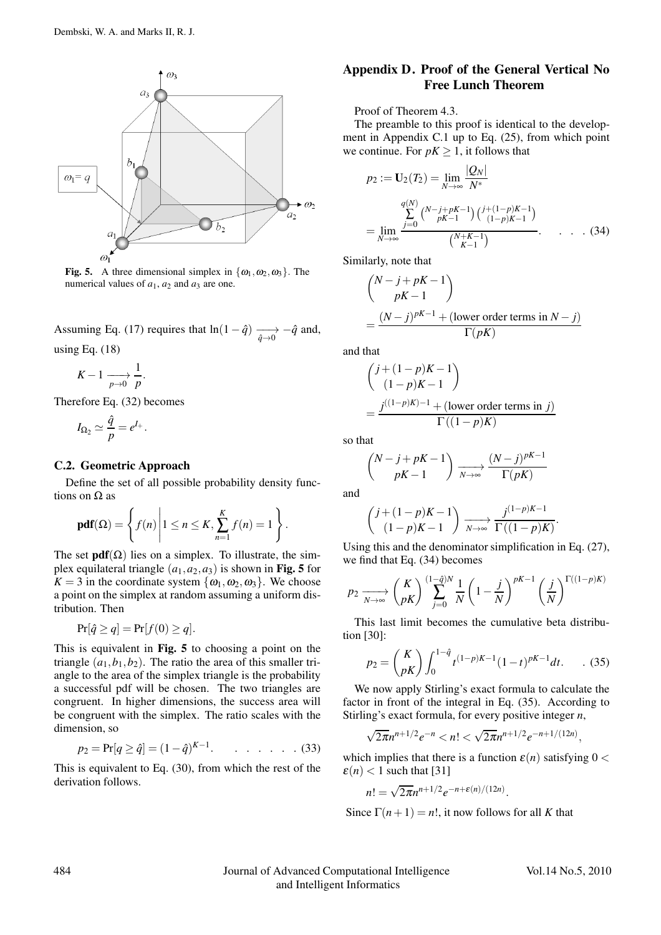

Fig. 5. A three dimensional simplex in  $\{\omega_1, \omega_2, \omega_3\}$ . The numerical values of  $a_1$ ,  $a_2$  and  $a_3$  are one.

Assuming Eq. (17) requires that  $ln(1 - \hat{q}) \longrightarrow -\hat{q}$  and, using Eq. (18)

$$
K-1 \xrightarrow[p \to 0]{} \frac{1}{p}.
$$

Therefore Eq. (32) becomes

$$
I_{\Omega_2} \simeq \frac{\hat{q}}{p} = e^{I_+}.
$$

#### C.2. Geometric Approach

Define the set of all possible probability density functions on  $\Omega$  as

$$
pdf(\Omega) = \left\{ f(n) \middle| 1 \le n \le K, \sum_{n=1}^{K} f(n) = 1 \right\}.
$$

The set  $pdf(\Omega)$  lies on a simplex. To illustrate, the simplex equilateral triangle  $(a_1, a_2, a_3)$  is shown in Fig. 5 for  $K = 3$  in the coordinate system  $\{\omega_1, \omega_2, \omega_3\}$ . We choose a point on the simplex at random assuming a uniform distribution. Then

$$
\Pr[\hat{q} \ge q] = \Pr[f(0) \ge q].
$$

This is equivalent in Fig. 5 to choosing a point on the triangle  $(a_1, b_1, b_2)$ . The ratio the area of this smaller triangle to the area of the simplex triangle is the probability a successful pdf will be chosen. The two triangles are congruent. In higher dimensions, the success area will be congruent with the simplex. The ratio scales with the dimension, so

$$
p_2 = \Pr[q \ge \hat{q}] = (1 - \hat{q})^{K-1}.\quad \dots \quad \dots \quad . \tag{33}
$$

This is equivalent to Eq. (30), from which the rest of the derivation follows.

## Appendix D. Proof of the General Vertical No Free Lunch Theorem

Proof of Theorem 4.3.

The preamble to this proof is identical to the development in Appendix C.1 up to Eq. (25), from which point we continue. For  $pK \geq 1$ , it follows that

$$
p_2 := \mathbf{U}_2(T_2) = \lim_{N \to \infty} \frac{|Q_N|}{N^*}
$$
  
= 
$$
\lim_{N \to \infty} \frac{\sum_{j=0}^{q(N)} {N-j+pK-1 \choose pk-1} {j+(1-p)K-1 \choose (1-p)K-1}}{N+K-1 \choose k-1}.
$$
 (34)

Similarly, note that

$$
\begin{aligned} & \binom{N-j+pK-1}{pK-1} \\ &= \frac{(N-j)^{pK-1} + \text{(lower order terms in } N-j)}{\Gamma(pK)} \end{aligned}
$$

and that

$$
\begin{aligned} & \binom{j + (1-p)K - 1}{(1-p)K - 1} \\ & = \frac{j^{((1-p)K) - 1} + (\text{lower order terms in } j)}{\Gamma((1-p)K)} \end{aligned}
$$

so that

$$
\binom{N-j+pK-1}{pK-1} \xrightarrow[N \to \infty]{} \frac{(N-j)^{pK-1}}{\Gamma(pK)}
$$

and

$$
\binom{j+(1-p)K-1}{(1-p)K-1} \xrightarrow[N \to \infty]{} \frac{j^{(1-p)K-1}}{\Gamma((1-p)K)}.
$$

Using this and the denominator simplification in Eq. (27), we find that Eq. (34) becomes

$$
p_2 \xrightarrow[N \to \infty]{} \binom{K}{pK} \prod_{j=0}^{(1-\hat{q})N} \frac{1}{N} \left(1 - \frac{j}{N}\right)^{pK-1} \left(\frac{j}{N}\right)^{\Gamma((1-p)K)}
$$

This last limit becomes the cumulative beta distribution [30]:

$$
p_2 = {K \choose pK} \int_0^{1-\hat{q}} t^{(1-p)K-1} (1-t)^{pK-1} dt.
$$
 (35)

We now apply Stirling's exact formula to calculate the factor in front of the integral in Eq. (35). According to Stirling's exact formula, for every positive integer *n*,

$$
\sqrt{2\pi}n^{n+1/2}e^{-n} < n! < \sqrt{2\pi}n^{n+1/2}e^{-n+1/(12n)},
$$

which implies that there is a function  $\varepsilon(n)$  satisfying  $0 <$  $\varepsilon(n)$  < 1 such that [31]

$$
n! = \sqrt{2\pi n^{n+1/2}}e^{-n+\varepsilon(n)/(12n)}.
$$

Since  $\Gamma(n+1) = n!$ , it now follows for all *K* that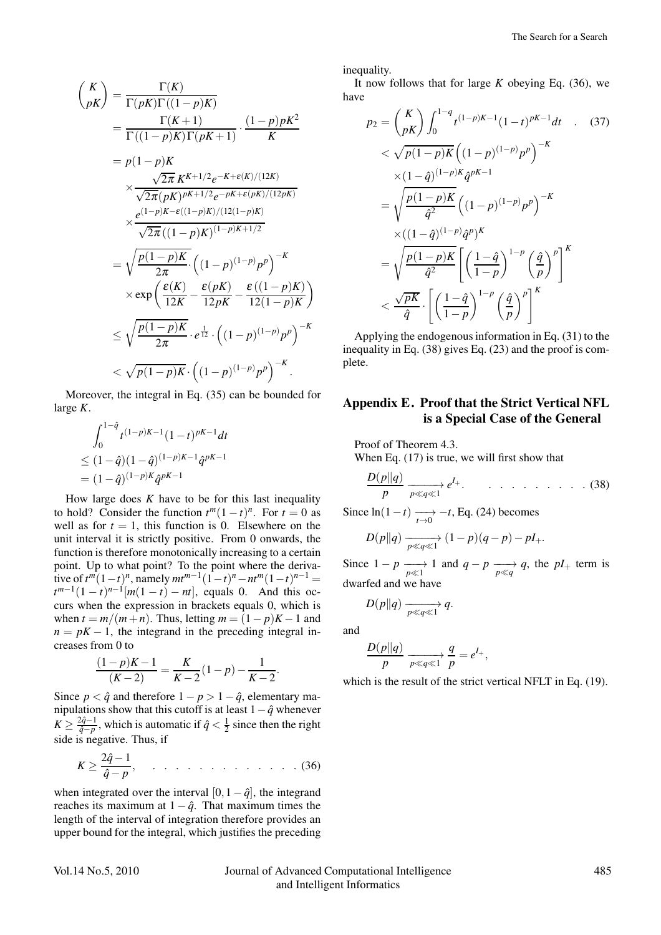$$
\binom{K}{pK} = \frac{\Gamma(K)}{\Gamma(pK)\Gamma((1-p)K)}
$$
\n
$$
= \frac{\Gamma(K+1)}{\Gamma((1-p)K)\Gamma(pK+1)} \cdot \frac{(1-p)pK^2}{K}
$$
\n
$$
= p(1-p)K
$$
\n
$$
\times \frac{\sqrt{2\pi} K^{K+1/2} e^{-K+\varepsilon(K)/(12K)}}{\sqrt{2\pi}(pK)^{pK+1/2} e^{-pK+\varepsilon(pK)/(12pK)}}
$$
\n
$$
\times \frac{e^{(1-p)K-\varepsilon((1-p)K)/(12(1-p)K)}}{\sqrt{2\pi}((1-p)K)^{(1-p)K+1/2}}
$$
\n
$$
= \sqrt{\frac{p(1-p)K}{2\pi}} \cdot \left((1-p)^{(1-p)}p^p\right)^{-K}
$$
\n
$$
\times \exp\left(\frac{\varepsilon(K)}{12K} - \frac{\varepsilon(pK)}{12pK} - \frac{\varepsilon((1-p)K)}{12(1-p)K}\right)
$$
\n
$$
\leq \sqrt{\frac{p(1-p)K}{2\pi}} \cdot e^{\frac{1}{12}} \cdot \left((1-p)^{(1-p)}p^p\right)^{-K}
$$
\n
$$
< \sqrt{p(1-p)K} \cdot \left((1-p)^{(1-p)}p^p\right)^{-K}.
$$

Moreover, the integral in Eq. (35) can be bounded for large *K*.

$$
\int_0^{1-\hat{q}} t^{(1-p)K-1} (1-t)^{pK-1} dt
$$
  
\n
$$
\leq (1-\hat{q})(1-\hat{q})^{(1-p)K-1} \hat{q}^{pK-1}
$$
  
\n
$$
= (1-\hat{q})^{(1-p)K} \hat{q}^{pK-1}
$$

How large does *K* have to be for this last inequality to hold? Consider the function  $t^m(1-t)^n$ . For  $t=0$  as well as for  $t = 1$ , this function is 0. Elsewhere on the unit interval it is strictly positive. From 0 onwards, the function is therefore monotonically increasing to a certain point. Up to what point? To the point where the derivative of  $t^m(1-t)^n$ , namely  $mt^{m-1}(1-t)^n - nt^m(1-t)^{n-1} =$  $t^{m-1}(1-t)^{n-1}[m(1-t) - nt]$ , equals 0. And this occurs when the expression in brackets equals 0, which is when  $t = m/(m+n)$ . Thus, letting  $m = (1-p)K - 1$  and  $n = pK - 1$ , the integrand in the preceding integral increases from 0 to

$$
\frac{(1-p)K-1}{(K-2)} = \frac{K}{K-2}(1-p) - \frac{1}{K-2}.
$$

Since  $p < \hat{q}$  and therefore  $1 - p > 1 - \hat{q}$ , elementary manipulations show that this cutoff is at least  $1-\hat{q}$  whenever  $K \geq \frac{2\hat{q}-1}{\hat{q}-p}$ , which is automatic if  $\hat{q} < \frac{1}{2}$  since then the right side is negative. Thus, if

$$
K \ge \frac{2\hat{q}-1}{\hat{q}-p}, \qquad \qquad \ldots \qquad \qquad \ldots \qquad \ldots \qquad (36)
$$

when integrated over the interval  $[0,1-\hat{q}]$ , the integrand reaches its maximum at  $1 - \hat{q}$ . That maximum times the length of the interval of integration therefore provides an upper bound for the integral, which justifies the preceding inequality.

It now follows that for large *K* obeying Eq. (36), we have

$$
p_2 = {K \choose pK} \int_0^{1-q} t^{(1-p)K-1} (1-t)^{pK-1} dt \quad . \quad (37)
$$
  

$$
< \sqrt{p(1-p)K} \left( (1-p)^{(1-p)} p^p \right)^{-K}
$$
  

$$
\times (1-\hat{q})^{(1-p)K} \hat{q}^{pK-1}
$$
  

$$
= \sqrt{\frac{p(1-p)K}{\hat{q}^2} \left( (1-p)^{(1-p)} p^p \right)^{-K}}
$$
  

$$
\times ((1-\hat{q})^{(1-p)} \hat{q}^p)^K
$$
  

$$
= \sqrt{\frac{p(1-p)K}{\hat{q}^2} \left[ \left( \frac{1-\hat{q}}{1-p} \right)^{1-p} \left( \frac{\hat{q}}{p} \right)^p \right]^K}
$$
  

$$
< \frac{\sqrt{pK}}{\hat{q}} \cdot \left[ \left( \frac{1-\hat{q}}{1-p} \right)^{1-p} \left( \frac{\hat{q}}{p} \right)^p \right]^K
$$

Applying the endogenous information in Eq. (31) to the inequality in Eq. (38) gives Eq. (23) and the proof is complete.

## Appendix E. Proof that the Strict Vertical NFL is a Special Case of the General

Proof of Theorem 4.3.

When Eq. (17) is true, we will first show that

$$
\frac{D(p||q)}{p} \xrightarrow[p \ll q \ll 1]{p \ll q \ll 1} e^{l+}.\qquad \qquad \ldots \qquad \ldots \qquad (38)
$$

Since  $ln(1-t) \longrightarrow_{t\to 0} -t$ , Eq. (24) becomes

$$
D(p||q) \xrightarrow[p \ll q \ll 1]{} (1-p)(q-p) - pI_+.
$$

Since  $1 - p \xrightarrow[p \ll 1]{} 1$  and  $q - p \xrightarrow[p \ll q]{} q$ , the  $pI_+$  term is dwarfed and we have

$$
D(p||q) \xrightarrow[p \ll q \ll 1]{} q.
$$

and

$$
\frac{D(p||q)}{p} \xrightarrow[p \ll q \ll 1]{p} \frac{q}{p} = e^{I_+},
$$

which is the result of the strict vertical NFLT in Eq. (19).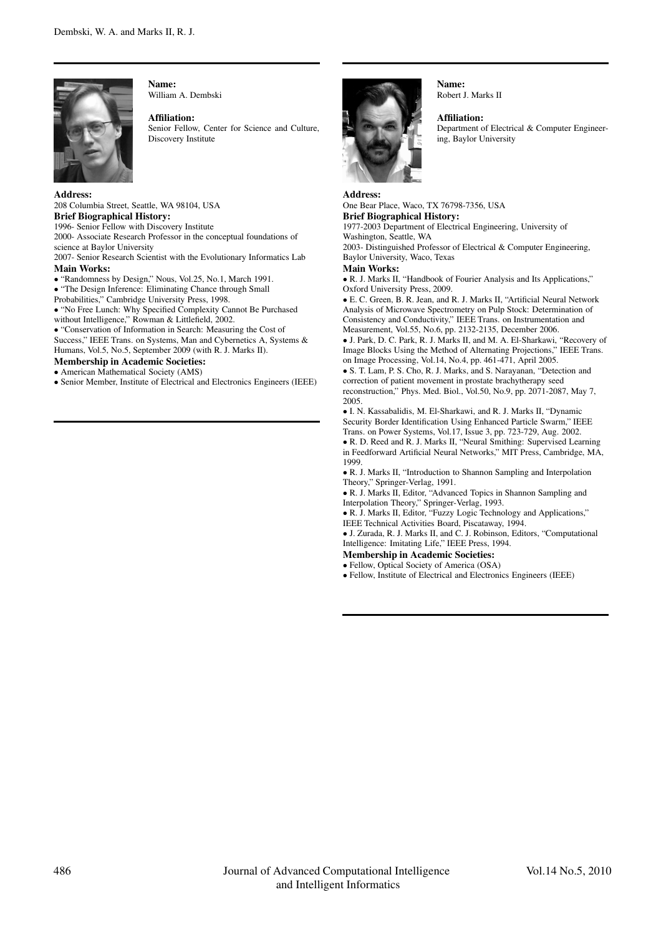

Name: William A. Dembski

Affiliation:

Senior Fellow, Center for Science and Culture, Discovery Institute

Address:

208 Columbia Street, Seattle, WA 98104, USA Brief Biographical History: 1996- Senior Fellow with Discovery Institute

2000- Associate Research Professor in the conceptual foundations of science at Baylor University

2007- Senior Research Scientist with the Evolutionary Informatics Lab Main Works:

• "Randomness by Design," Nous, Vol.25, No.1, March 1991.

• "The Design Inference: Eliminating Chance through Small

Probabilities," Cambridge University Press, 1998.

• "No Free Lunch: Why Specified Complexity Cannot Be Purchased without Intelligence," Rowman & Littlefield, 2002.

• "Conservation of Information in Search: Measuring the Cost of

Success," IEEE Trans. on Systems, Man and Cybernetics A, Systems & Humans, Vol.5, No.5, September 2009 (with R. J. Marks II).

Membership in Academic Societies: • American Mathematical Society (AMS)

• Senior Member, Institute of Electrical and Electronics Engineers (IEEE)



Address:

Name: Robert J. Marks II

Affiliation: Department of Electrical & Computer Engineering, Baylor University

One Bear Place, Waco, TX 76798-7356, USA Brief Biographical History: 1977-2003 Department of Electrical Engineering, University of Washington, Seattle, WA 2003- Distinguished Professor of Electrical & Computer Engineering, Baylor University, Waco, Texas Main Works: • R. J. Marks II, "Handbook of Fourier Analysis and Its Applications,"

Oxford University Press, 2009. • E. C. Green, B. R. Jean, and R. J. Marks II, "Artificial Neural Network Analysis of Microwave Spectrometry on Pulp Stock: Determination of Consistency and Conductivity," IEEE Trans. on Instrumentation and

Measurement, Vol.55, No.6, pp. 2132-2135, December 2006. • J. Park, D. C. Park, R. J. Marks II, and M. A. El-Sharkawi, "Recovery of

Image Blocks Using the Method of Alternating Projections," IEEE Trans. on Image Processing, Vol.14, No.4, pp. 461-471, April 2005.

• S. T. Lam, P. S. Cho, R. J. Marks, and S. Narayanan, "Detection and correction of patient movement in prostate brachytherapy seed reconstruction," Phys. Med. Biol., Vol.50, No.9, pp. 2071-2087, May 7, 2005.

• I. N. Kassabalidis, M. El-Sharkawi, and R. J. Marks II, "Dynamic Security Border Identification Using Enhanced Particle Swarm," IEEE Trans. on Power Systems, Vol.17, Issue 3, pp. 723-729, Aug. 2002.

• R. D. Reed and R. J. Marks II, "Neural Smithing: Supervised Learning in Feedforward Artificial Neural Networks," MIT Press, Cambridge, MA, 1999.

• R. J. Marks II, "Introduction to Shannon Sampling and Interpolation Theory," Springer-Verlag, 1991.

• R. J. Marks II, Editor, "Advanced Topics in Shannon Sampling and Interpolation Theory," Springer-Verlag, 1993.

• R. J. Marks II, Editor, "Fuzzy Logic Technology and Applications," IEEE Technical Activities Board, Piscataway, 1994.

• J. Zurada, R. J. Marks II, and C. J. Robinson, Editors, "Computational Intelligence: Imitating Life," IEEE Press, 1994.

Membership in Academic Societies:

• Fellow, Optical Society of America (OSA)

• Fellow, Institute of Electrical and Electronics Engineers (IEEE)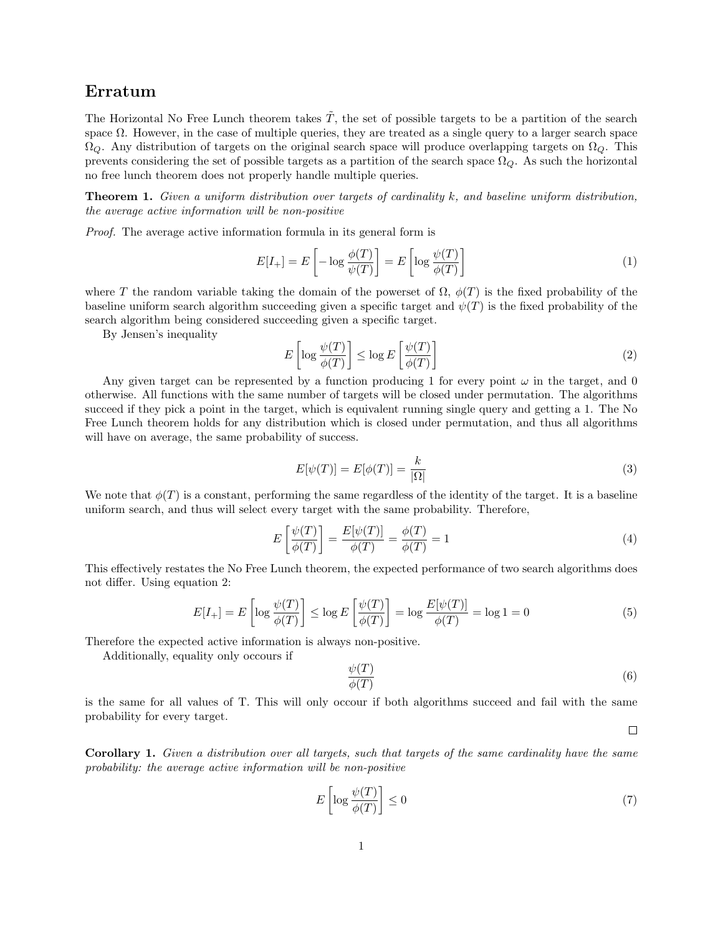# Erratum

The Horizontal No Free Lunch theorem takes  $\tilde{T}$ , the set of possible targets to be a partition of the search space  $\Omega$ . However, in the case of multiple queries, they are treated as a single query to a larger search space  $\Omega_Q$ . Any distribution of targets on the original search space will produce overlapping targets on  $\Omega_Q$ . This prevents considering the set of possible targets as a partition of the search space  $\Omega_Q$ . As such the horizontal no free lunch theorem does not properly handle multiple queries.

Theorem 1. *Given a uniform distribution over targets of cardinality k, and baseline uniform distribution, the average active information will be non-positive*

*Proof.* The average active information formula in its general form is

$$
E[I_{+}] = E\left[-\log\frac{\phi(T)}{\psi(T)}\right] = E\left[\log\frac{\psi(T)}{\phi(T)}\right]
$$
\n(1)

where *T* the random variable taking the domain of the powerset of  $\Omega$ ,  $\phi(T)$  is the fixed probability of the baseline uniform search algorithm succeeding given a specific target and  $\psi(T)$  is the fixed probability of the search algorithm being considered succeeding given a specific target.

By Jensen's inequality

$$
E\left[\log \frac{\psi(T)}{\phi(T)}\right] \le \log E\left[\frac{\psi(T)}{\phi(T)}\right]
$$
\n(2)

Any given target can be represented by a function producing 1 for every point  $\omega$  in the target, and 0 otherwise. All functions with the same number of targets will be closed under permutation. The algorithms succeed if they pick a point in the target, which is equivalent running single query and getting a 1. The No Free Lunch theorem holds for any distribution which is closed under permutation, and thus all algorithms will have on average, the same probability of success.

$$
E[\psi(T)] = E[\phi(T)] = \frac{k}{|\Omega|} \tag{3}
$$

We note that  $\phi(T)$  is a constant, performing the same regardless of the identity of the target. It is a baseline uniform search, and thus will select every target with the same probability. Therefore,

$$
E\left[\frac{\psi(T)}{\phi(T)}\right] = \frac{E[\psi(T)]}{\phi(T)} = \frac{\phi(T)}{\phi(T)} = 1\tag{4}
$$

This effectively restates the No Free Lunch theorem, the expected performance of two search algorithms does not differ. Using equation 2:

$$
E[I_{+}] = E\left[\log \frac{\psi(T)}{\phi(T)}\right] \le \log E\left[\frac{\psi(T)}{\phi(T)}\right] = \log \frac{E[\psi(T)]}{\phi(T)} = \log 1 = 0
$$
\n(5)

Therefore the expected active information is always non-positive.

Additionally, equality only occours if

$$
\frac{\psi(T)}{\phi(T)}\tag{6}
$$

 $\Box$ 

is the same for all values of T. This will only occour if both algorithms succeed and fail with the same probability for every target.

Corollary 1. *Given a distribution over all targets, such that targets of the same cardinality have the same probability: the average active information will be non-positive*

$$
E\left[\log \frac{\psi(T)}{\phi(T)}\right] \le 0\tag{7}
$$